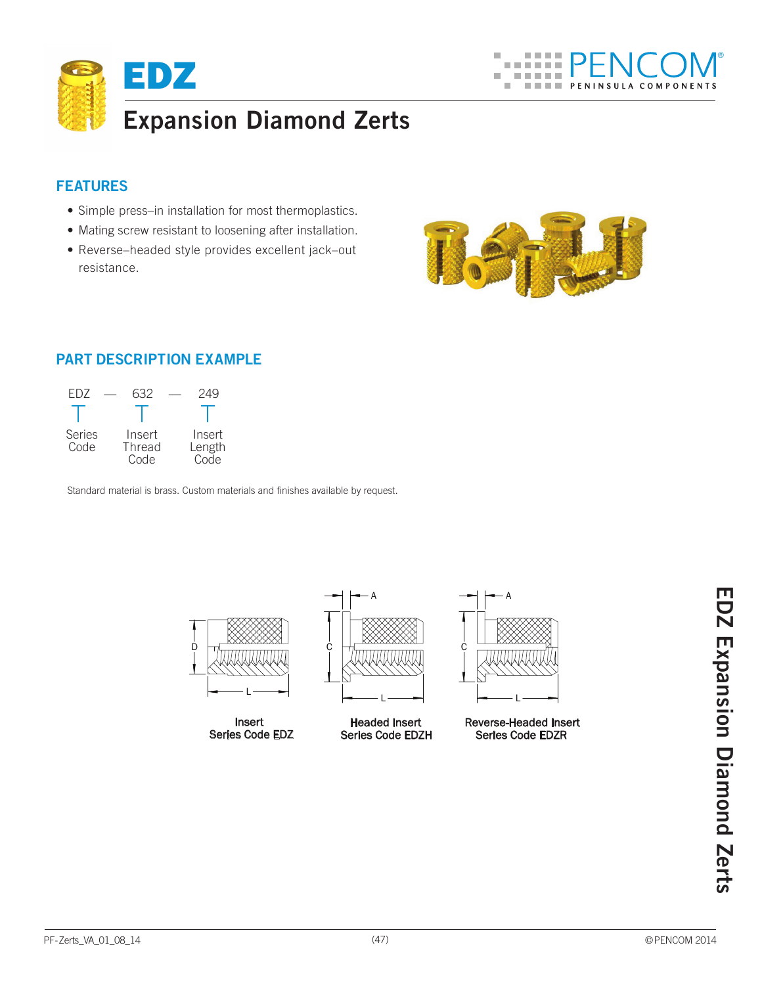

## **Features**

- Simple press–in installation for most thermoplastics.
- Mating screw resistant to loosening after installation.
- Reverse–headed style provides excellent jack–out resistance.



# **Part Description Example**

| FD7                   | 632                      | 249                      |
|-----------------------|--------------------------|--------------------------|
|                       |                          |                          |
| <b>Series</b><br>Code | Insert<br>Thread<br>Code | Insert<br>Length<br>Code |

Standard material is brass. Custom materials and finishes available by request.

Insert Series Code EDZ



Headed Insert Series Code EDZH

Reverse-Headed Insert Series Code EDZR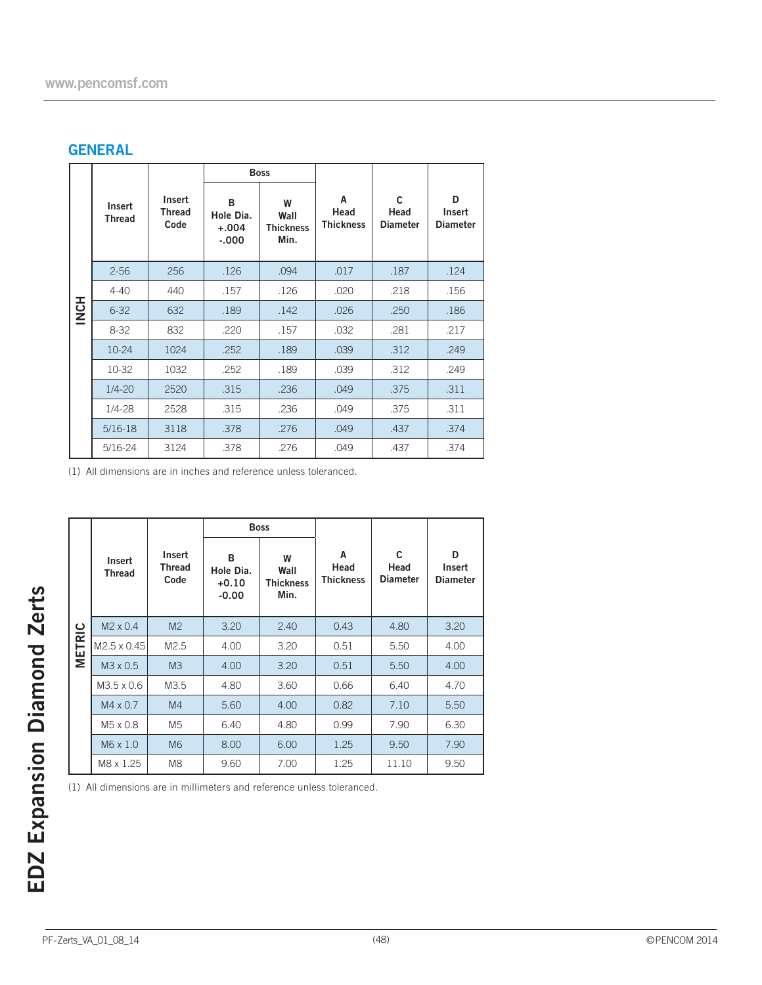## **GENERAL**

|          |                         | <b>Boss</b>                     |                                       |                                       |                               |                                         |                                |
|----------|-------------------------|---------------------------------|---------------------------------------|---------------------------------------|-------------------------------|-----------------------------------------|--------------------------------|
|          | Insert<br><b>Thread</b> | Insert<br><b>Thread</b><br>Code | B<br>Hole Dia.<br>$+.004$<br>$-0.000$ | W<br>Wall<br><b>Thickness</b><br>Min. | A<br>Head<br><b>Thickness</b> | $\mathsf{C}$<br>Head<br><b>Diameter</b> | D<br>Insert<br><b>Diameter</b> |
|          | $2 - 56$                | 256                             | .126                                  | .094                                  | .017                          | .187                                    | .124                           |
|          | $4 - 40$                | 440                             | .157                                  | .126                                  | .020                          | .218                                    | .156                           |
| HON<br>N | $6 - 32$                | 632                             | .189                                  | .142                                  | .026                          | .250                                    | .186                           |
|          | $8 - 32$                | 832                             | .220                                  | .157                                  | .032                          | .281                                    | .217                           |
|          | $10 - 24$               | 1024                            | .252                                  | .189                                  | .039                          | .312                                    | .249                           |
|          | 10-32                   | 1032                            | .252                                  | .189                                  | .039                          | .312                                    | .249                           |
|          | $1/4 - 20$              | 2520                            | .315                                  | .236                                  | .049                          | .375                                    | .311                           |
|          | $1/4 - 28$              | 2528                            | .315                                  | .236                                  | .049                          | .375                                    | .311                           |
|          | $5/16-18$               | 3118                            | .378                                  | .276                                  | .049                          | .437                                    | .374                           |
|          | 5/16-24                 | 3124                            | .378                                  | .276                                  | .049                          | .437                                    | .374                           |

(1) All dimensions are in inches and reference unless toleranced.

|                                                                        | <b>Boss</b>             |                          |                                      |                                       |                               |                                         |                                |
|------------------------------------------------------------------------|-------------------------|--------------------------|--------------------------------------|---------------------------------------|-------------------------------|-----------------------------------------|--------------------------------|
|                                                                        | Insert<br><b>Thread</b> | Insert<br>Thread<br>Code | B<br>Hole Dia.<br>$+0.10$<br>$-0.00$ | W<br>Wall<br><b>Thickness</b><br>Min. | A<br>Head<br><b>Thickness</b> | $\mathsf{C}$<br>Head<br><b>Diameter</b> | D<br>Insert<br><b>Diameter</b> |
|                                                                        | $M2 \times 0.4$         | M <sub>2</sub>           | 3.20                                 | 2.40                                  | 0.43                          | 4.80                                    | 3.20                           |
| <b>METRIC</b>                                                          | M2.5 x 0.45             | M <sub>2.5</sub>         | 4.00                                 | 3.20                                  | 0.51                          | 5.50                                    | 4.00                           |
|                                                                        | M3 x 0.5                | M <sup>3</sup>           | 4.00                                 | 3.20                                  | 0.51                          | 5.50                                    | 4.00                           |
|                                                                        | M3.5 x 0.6              | M3.5                     | 4.80                                 | 3.60                                  | 0.66                          | 6.40                                    | 4.70                           |
|                                                                        | $M4 \times 0.7$         | M <sub>4</sub>           | 5.60                                 | 4.00                                  | 0.82                          | 7.10                                    | 5.50                           |
|                                                                        | M5 x 0.8                | M5                       | 6.40                                 | 4.80                                  | 0.99                          | 7.90                                    | 6.30                           |
|                                                                        | M6 x 1.0                | M <sub>6</sub>           | 8.00                                 | 6.00                                  | 1.25                          | 9.50                                    | 7.90                           |
|                                                                        | M8 x 1.25               | M8                       | 9.60                                 | 7.00                                  | 1.25                          | 11.10                                   | 9.50                           |
| (1) All dimensions are in millimeters and reference unless toleranced. |                         |                          |                                      |                                       |                               |                                         |                                |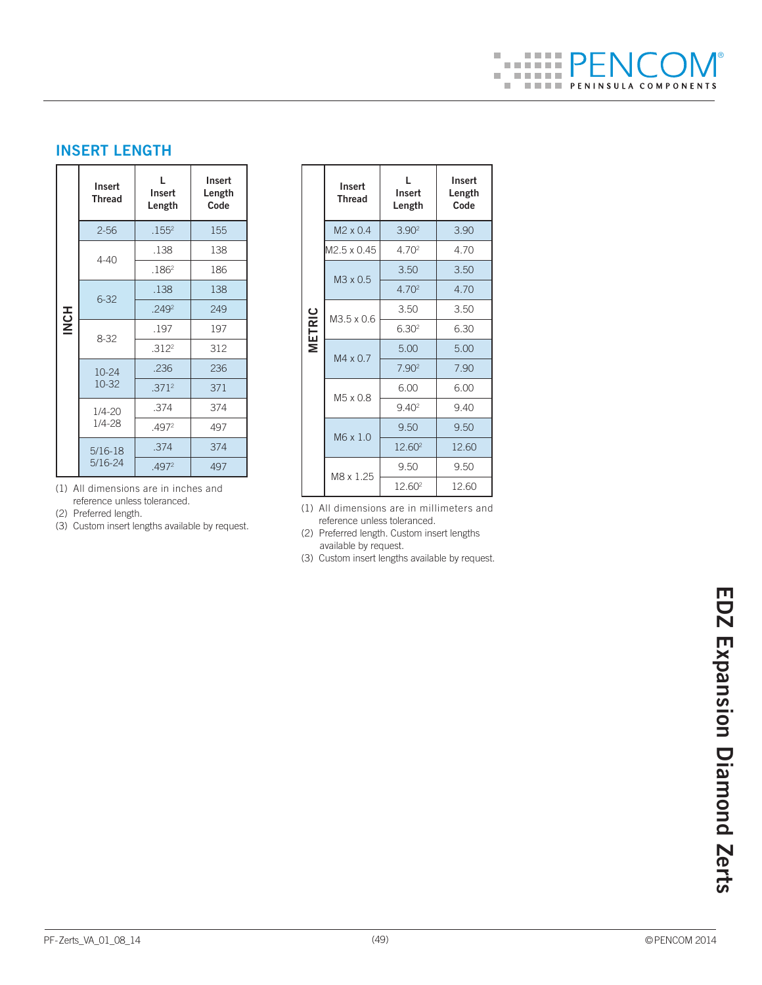#### $\overline{\phantom{a}}$ 医胃下腺 ®*BARBAR*  $\overline{\phantom{a}}$  $\mathcal{A} = \mathcal{A} + \mathcal{A} + \mathcal{A}$  $\mathbb{R}^n$ **THE PENINSULA COMPONENTS**

# **INSERT LENGTH**

|             | Insert<br><b>Thread</b> | ı.<br>Insert<br>Length | Insert<br>Length<br>Code |  |
|-------------|-------------------------|------------------------|--------------------------|--|
|             | $2 - 56$                | .155 <sup>2</sup>      | 155                      |  |
|             | $4 - 40$                | .138                   | 138                      |  |
|             |                         | .186 <sup>2</sup>      | 186                      |  |
|             | $6 - 32$                | .138                   | 138                      |  |
| <b>INCH</b> |                         | 2492                   | 249                      |  |
|             | $8 - 32$                | .197                   | 197                      |  |
|             |                         | .312 <sup>2</sup>      | 312                      |  |
|             | $10 - 24$               | .236                   | 236                      |  |
|             | 10-32                   | .371 <sup>2</sup>      | 371                      |  |
|             | $1/4 - 20$              | .374                   | 374                      |  |
|             | $1/4 - 28$              | .497 <sup>2</sup>      | 497                      |  |
|             | $5/16-18$               | .374                   | 374                      |  |
|             | $5/16 - 24$             | .4972                  | 497                      |  |

(1) All dimensions are in inches and reference unless toleranced.

(2) Preferred length.

(3) Custom insert lengths available by request.

|               | Insert<br><b>Thread</b> | L.<br>Insert<br>Length | Insert<br>Length<br>Code |  |
|---------------|-------------------------|------------------------|--------------------------|--|
|               | $M2 \times 0.4$         | 3.90 <sup>2</sup>      | 3.90                     |  |
|               | M2.5 x 0.45             | 4.70 <sup>2</sup>      | 4.70                     |  |
|               | M3 x 0.5                | 3.50                   | 3.50                     |  |
| <b>METRIC</b> |                         | 4.70 <sup>2</sup>      | 4.70                     |  |
|               | M3.5 x 0.6              | 3.50                   | 3.50                     |  |
|               |                         | 6.30 <sup>2</sup>      | 6.30                     |  |
|               | $M4 \times 07$          | 5.00                   | 5.00                     |  |
|               |                         | 7.90 <sup>2</sup>      | 7.90                     |  |
|               |                         | 6.00                   | 6.00                     |  |
|               | M5 x 0.8                | 9.40 <sup>2</sup>      | 940                      |  |
|               |                         | 9.50                   | 9.50                     |  |
|               | M6 x 1.0                | 12.60 <sup>2</sup>     | 12.60                    |  |
|               | M8 x 1.25               | 9.50                   | 9.50                     |  |
|               |                         | 12.60 <sup>2</sup>     | 12.60                    |  |

(1) All dimensions are in millimeters and reference unless toleranced.

(2) Preferred length. Custom insert lengths available by request.

(3) Custom insert lengths available by request.